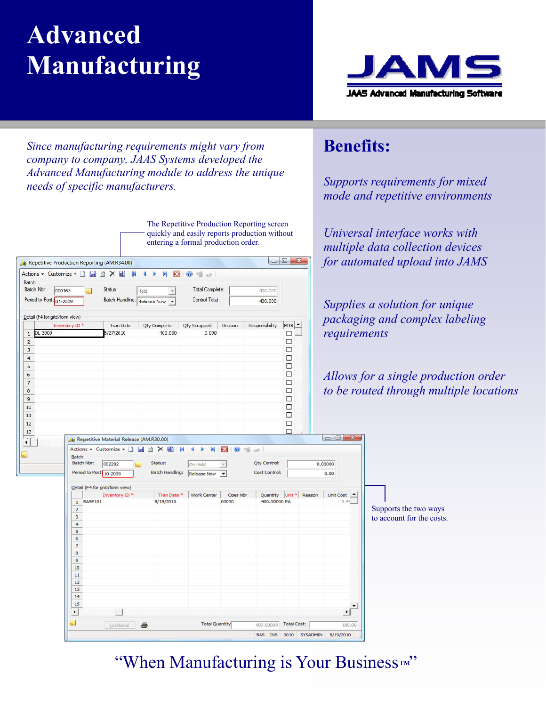# **Advanced Manufacturing**

<sup>4</sup> Repetitive Production Reporting (AM.R34.00)

000163

Inventory ID<sup>\*</sup>

Period to Post: 01-2009

 $1$  DL-3000

 $\overline{2}$ 

 $\overline{3}$ 

Detail (F4 for grid/form view)

 $B$ atch Batch Nbr:

Actions + Customize + D **H B X B K 4 F** 

 $\overline{a}$ 

Status:

8/27/2010

Hold

Batch Handling: Release Now



*Since manufacturing requirements might vary from company to company, JAAS Systems developed the Advanced Manufacturing module to address the unique needs of specific manufacturers.* 

NBO

 $\tau$ 

400,000

The Repetitive Production Reporting screen quickly and easily reports production without entering a formal production order.

화 해

**Total Complete** 

 $0.000$ 

Control Total:

Tran Date Qty Complete Qty Scrapped Reason Responsibility

 $MRB$   $\triangle$ 

 $\Box$  $\Box$ 

 $\Box$ 

400.000

 $400,000$ 

### **Benefits:**

*Supports requirements for mixed mode and repetitive environments* 

*Universal interface works with multiple data collection devices for automated upload into JAMS* 

*Supplies a solution for unique packaging and complex labeling requirements* 

*<u>On</u> order to be routed through multiple locations* 

| $\overline{4}$<br>$\overline{5}$<br>$\epsilon$<br>$\overline{\phantom{a}}$<br>$\overline{8}$<br>$\overline{9}$<br>$10$<br>$11\,$<br>$12\,$<br>$\frac{1}{13}$<br>$\sqrt{ }$ | /4 Repetitive Material Release (AM.R30.00)                                                                                                                                           |                                                                                   |                                                                                 |                                                                                   |                                                                                                             | $\Box$<br>$\Box$<br>$\Box$<br>$\Box$<br>$\Box$<br>$\Box$<br>$\Box$<br>$\Box$<br>$\Box$<br>П | $\Box$ $\Box$ $\Box$                          | Allows for a single producti<br>to be routed through multipl |
|----------------------------------------------------------------------------------------------------------------------------------------------------------------------------|--------------------------------------------------------------------------------------------------------------------------------------------------------------------------------------|-----------------------------------------------------------------------------------|---------------------------------------------------------------------------------|-----------------------------------------------------------------------------------|-------------------------------------------------------------------------------------------------------------|---------------------------------------------------------------------------------------------|-----------------------------------------------|--------------------------------------------------------------|
|                                                                                                                                                                            | Actions $\bullet$ Customize $\bullet$<br><b>Batch</b><br>Batch Nbr:<br>002292<br>Period to Post: 10-2009<br>Detail (F4 for grid/form view)<br>Inventory ID <sup>*</sup><br>1 BASE101 | HOXEN<br>Status:<br><b>Batch Handling:</b><br>Tran Date <sup>*</sup><br>8/19/2010 | N.<br>$\blacktriangleleft$<br>Þ<br>On Hold<br>Release Now<br><b>Work Center</b> | $\mathbf{E}$<br>$\circledcirc$<br>$\frac{1}{2}$<br>$\forall$<br>Oper Nbr<br>00030 | $\mathfrak{so}^{\mathfrak{g}}$ .<br>Qty Control:<br><b>Cost Control:</b><br>Quantity Unit *<br>400.00000 EA | Reason                                                                                      | 0.00000<br>0.00<br>Unit Cost <u>4</u><br>0.45 |                                                              |
|                                                                                                                                                                            | $\overline{2}$<br>$\mathbf{3}$<br>$\overline{4}$<br>5<br>6<br>$\overline{7}$<br>8<br>9                                                                                               |                                                                                   |                                                                                 |                                                                                   |                                                                                                             |                                                                                             |                                               | Supports the two ways<br>to account for the costs.           |
|                                                                                                                                                                            | 10<br>11<br>12<br>13<br>14<br>15<br>$\Box$                                                                                                                                           |                                                                                   |                                                                                 |                                                                                   |                                                                                                             |                                                                                             | $\blacktriangledown$<br>→ [                   |                                                              |
| $\overline{\mathcal{L}}$                                                                                                                                                   | 4<br>Lot/Serial                                                                                                                                                                      |                                                                                   | <b>Total Quantity</b>                                                           |                                                                                   | 400,00000<br>BAS INS                                                                                        | <b>Total Cost:</b><br>0010 SYSADMIN                                                         | 180.00<br>8/19/2010                           |                                                              |

#### "When Manufacturing is Your Business*™* "